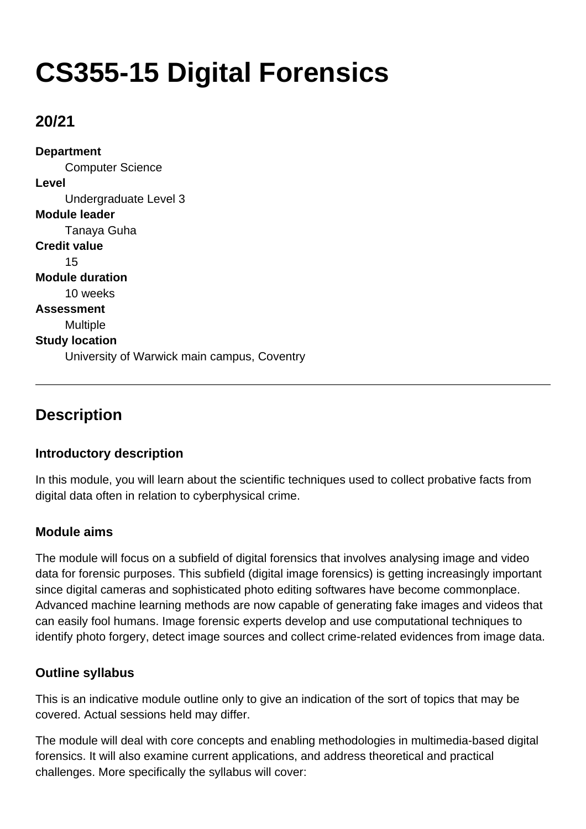# **CS355-15 Digital Forensics**

## **20/21**

**Department** Computer Science **Level** Undergraduate Level 3 **Module leader** Tanaya Guha **Credit value** 15 **Module duration** 10 weeks **Assessment** Multiple **Study location** University of Warwick main campus, Coventry

# **Description**

### **Introductory description**

In this module, you will learn about the scientific techniques used to collect probative facts from digital data often in relation to cyberphysical crime.

### **Module aims**

The module will focus on a subfield of digital forensics that involves analysing image and video data for forensic purposes. This subfield (digital image forensics) is getting increasingly important since digital cameras and sophisticated photo editing softwares have become commonplace. Advanced machine learning methods are now capable of generating fake images and videos that can easily fool humans. Image forensic experts develop and use computational techniques to identify photo forgery, detect image sources and collect crime-related evidences from image data.

### **Outline syllabus**

This is an indicative module outline only to give an indication of the sort of topics that may be covered. Actual sessions held may differ.

The module will deal with core concepts and enabling methodologies in multimedia-based digital forensics. It will also examine current applications, and address theoretical and practical challenges. More specifically the syllabus will cover: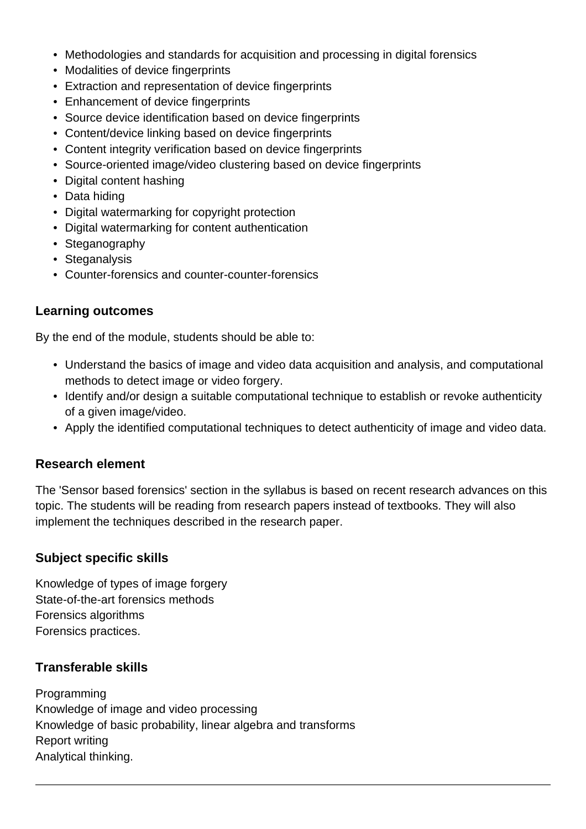- Methodologies and standards for acquisition and processing in digital forensics
- Modalities of device fingerprints
- Extraction and representation of device fingerprints
- Enhancement of device fingerprints
- Source device identification based on device fingerprints
- Content/device linking based on device fingerprints
- Content integrity verification based on device fingerprints
- Source-oriented image/video clustering based on device fingerprints
- Digital content hashing
- Data hiding
- Digital watermarking for copyright protection
- Digital watermarking for content authentication
- Steganography
- Steganalysis
- Counter-forensics and counter-counter-forensics

### **Learning outcomes**

By the end of the module, students should be able to:

- Understand the basics of image and video data acquisition and analysis, and computational methods to detect image or video forgery.
- Identify and/or design a suitable computational technique to establish or revoke authenticity of a given image/video.
- Apply the identified computational techniques to detect authenticity of image and video data.

### **Research element**

The 'Sensor based forensics' section in the syllabus is based on recent research advances on this topic. The students will be reading from research papers instead of textbooks. They will also implement the techniques described in the research paper.

### **Subject specific skills**

Knowledge of types of image forgery State-of-the-art forensics methods Forensics algorithms Forensics practices.

### **Transferable skills**

Programming Knowledge of image and video processing Knowledge of basic probability, linear algebra and transforms Report writing Analytical thinking.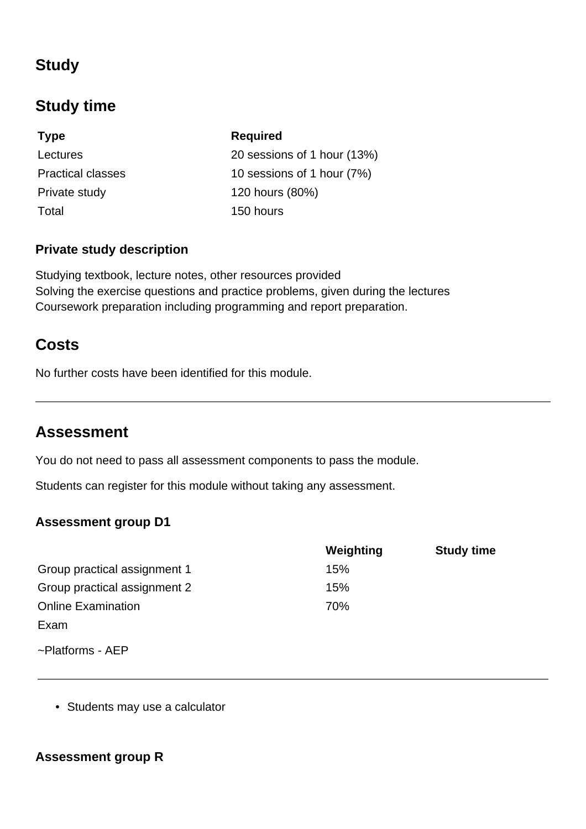# **Study**

# **Study time**

**Type Required** Private study 120 hours (80%) Total 150 hours

Lectures 20 sessions of 1 hour (13%) Practical classes 10 sessions of 1 hour (7%)

### **Private study description**

Studying textbook, lecture notes, other resources provided Solving the exercise questions and practice problems, given during the lectures Coursework preparation including programming and report preparation.

### **Costs**

No further costs have been identified for this module.

### **Assessment**

You do not need to pass all assessment components to pass the module.

Students can register for this module without taking any assessment.

### **Assessment group D1**

|                              | Weighting | <b>Study time</b> |
|------------------------------|-----------|-------------------|
| Group practical assignment 1 | 15%       |                   |
| Group practical assignment 2 | 15%       |                   |
| <b>Online Examination</b>    | 70%       |                   |
| Exam                         |           |                   |
| $\sim$ Platforms - AEP       |           |                   |

• Students may use a calculator

### **Assessment group R**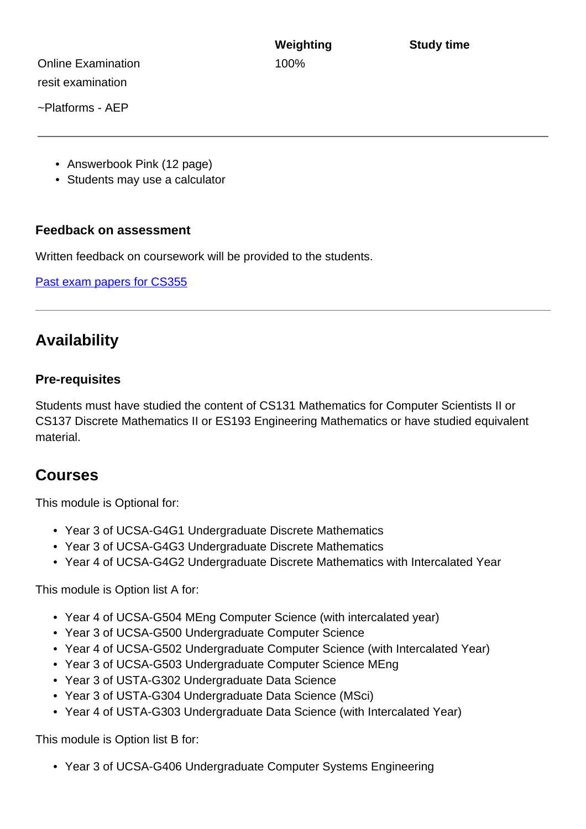Online Examination 100% resit examination

~Platforms - AEP

- Answerbook Pink (12 page)
- Students may use a calculator

#### **Feedback on assessment**

Written feedback on coursework will be provided to the students.

[Past exam papers for CS355](https://warwick.ac.uk/exampapers?q=CS355)

### **Availability**

#### **Pre-requisites**

Students must have studied the content of CS131 Mathematics for Computer Scientists II or CS137 Discrete Mathematics II or ES193 Engineering Mathematics or have studied equivalent material.

### **Courses**

This module is Optional for:

- Year 3 of UCSA-G4G1 Undergraduate Discrete Mathematics
- Year 3 of UCSA-G4G3 Undergraduate Discrete Mathematics
- Year 4 of UCSA-G4G2 Undergraduate Discrete Mathematics with Intercalated Year

This module is Option list A for:

- Year 4 of UCSA-G504 MEng Computer Science (with intercalated year)
- Year 3 of UCSA-G500 Undergraduate Computer Science
- Year 4 of UCSA-G502 Undergraduate Computer Science (with Intercalated Year)
- Year 3 of UCSA-G503 Undergraduate Computer Science MEng
- Year 3 of USTA-G302 Undergraduate Data Science
- Year 3 of USTA-G304 Undergraduate Data Science (MSci)
- Year 4 of USTA-G303 Undergraduate Data Science (with Intercalated Year)

This module is Option list B for:

• Year 3 of UCSA-G406 Undergraduate Computer Systems Engineering